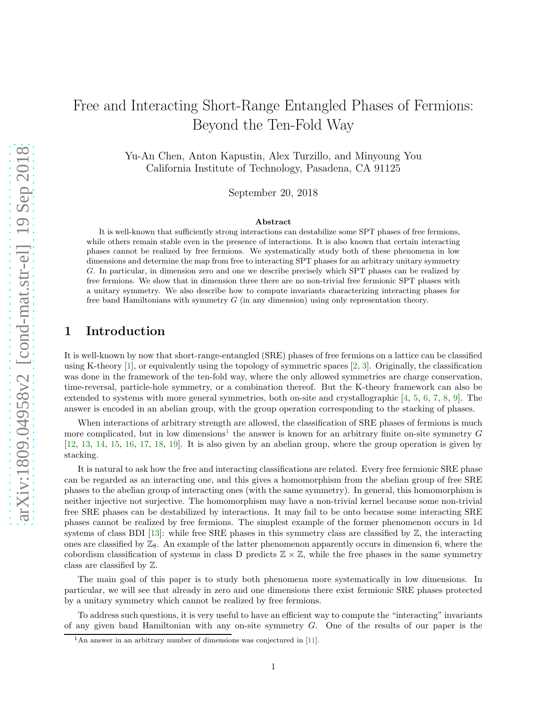# Free and Interacting Short-Range Entangled Phases of Fermions: Beyond the Ten-Fold Way

Yu-An Chen, Anton Kapustin, Alex Turzillo, and Minyoung You California Institute of Technology, Pasadena, CA 91125

September 20, 2018

#### Abstract

It is well-known that sufficiently strong interactions can destabilize some SPT phases of free fermions, while others remain stable even in the presence of interactions. It is also known that certain interacting phases cannot be realized by free fermions. We systematically study both of these phenomena in low dimensions and determine the map from free to interacting SPT phases for an arbitrary unitary symmetry G. In particular, in dimension zero and one we describe precisely which SPT phases can be realized by free fermions. We show that in dimension three there are no non-trivial free fermionic SPT phases with a unitary symmetry. We also describe how to compute invariants characterizing interacting phases for free band Hamiltonians with symmetry G (in any dimension) using only representation theory.

# 1 Introduction

It is well-known by now that short-range-entangled (SRE) phases of free fermions on a lattice can be classified using K-theory [\[1\]](#page-15-0), or equivalently using the topology of symmetric spaces [\[2,](#page-15-1) [3\]](#page-15-2). Originally, the classification was done in the framework of the ten-fold way, where the only allowed symmetries are charge conservation, time-reversal, particle-hole symmetry, or a combination thereof. But the K-theory framework can also be extended to systems with more general symmetries, both on-site and crystallographic [\[4,](#page-15-3) [5,](#page-15-4) [6,](#page-15-5) [7,](#page-15-6) [8,](#page-15-7) [9\]](#page-15-8). The answer is encoded in an abelian group, with the group operation corresponding to the stacking of phases.

When interactions of arbitrary strength are allowed, the classification of SRE phases of fermions is much more complicated, but in low dimensions<sup>[1](#page-0-0)</sup> the answer is known for an arbitrary finite on-site symmetry  $G$ [\[12,](#page-15-9) [13,](#page-15-10) [14,](#page-15-11) [15,](#page-15-12) [16,](#page-16-0) [17,](#page-16-1) [18,](#page-16-2) [19\]](#page-16-3). It is also given by an abelian group, where the group operation is given by stacking.

It is natural to ask how the free and interacting classifications are related. Every free fermionic SRE phase can be regarded as an interacting one, and this gives a homomorphism from the abelian group of free SRE phases to the abelian group of interacting ones (with the same symmetry). In general, this homomorphism is neither injective not surjective. The homomorphism may have a non-trivial kernel because some non-trivial free SRE phases can be destabilized by interactions. It may fail to be onto because some interacting SRE phases cannot be realized by free fermions. The simplest example of the former phenomenon occurs in 1d systems of class BDI [\[13\]](#page-15-10): while free SRE phases in this symmetry class are classified by  $\mathbb{Z}$ , the interacting ones are classified by  $\mathbb{Z}_8$ . An example of the latter phenomenon apparently occurs in dimension 6, where the cobordism classification of systems in class D predicts  $\mathbb{Z} \times \mathbb{Z}$ , while the free phases in the same symmetry class are classified by Z.

The main goal of this paper is to study both phenomena more systematically in low dimensions. In particular, we will see that already in zero and one dimensions there exist fermionic SRE phases protected by a unitary symmetry which cannot be realized by free fermions.

To address such questions, it is very useful to have an efficient way to compute the "interacting" invariants of any given band Hamiltonian with any on-site symmetry  $G$ . One of the results of our paper is the

<span id="page-0-0"></span><sup>&</sup>lt;sup>1</sup>An answer in an arbitrary number of dimensions was conjectured in [\[11\]](#page-15-13).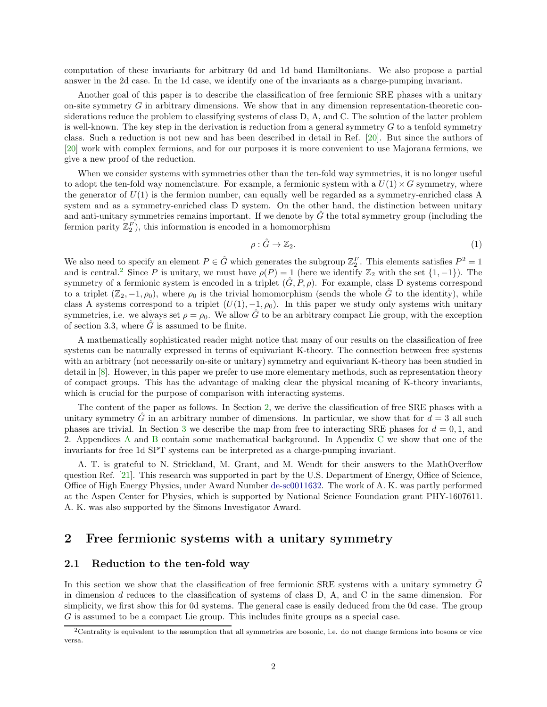computation of these invariants for arbitrary 0d and 1d band Hamiltonians. We also propose a partial answer in the 2d case. In the 1d case, we identify one of the invariants as a charge-pumping invariant.

Another goal of this paper is to describe the classification of free fermionic SRE phases with a unitary on-site symmetry  $G$  in arbitrary dimensions. We show that in any dimension representation-theoretic considerations reduce the problem to classifying systems of class D, A, and C. The solution of the latter problem is well-known. The key step in the derivation is reduction from a general symmetry  $G$  to a tenfold symmetry class. Such a reduction is not new and has been described in detail in Ref. [\[20\]](#page-16-4). But since the authors of [\[20\]](#page-16-4) work with complex fermions, and for our purposes it is more convenient to use Majorana fermions, we give a new proof of the reduction.

When we consider systems with symmetries other than the ten-fold way symmetries, it is no longer useful to adopt the ten-fold way nomenclature. For example, a fermionic system with a  $U(1) \times G$  symmetry, where the generator of  $U(1)$  is the fermion number, can equally well be regarded as a symmetry-enriched class A system and as a symmetry-enriched class D system. On the other hand, the distinction between unitary and anti-unitary symmetries remains important. If we denote by  $\tilde{G}$  the total symmetry group (including the fermion parity  $\mathbb{Z}_2^F$ ), this information is encoded in a homomorphism

$$
\rho: \hat{G} \to \mathbb{Z}_2. \tag{1}
$$

We also need to specify an element  $P \in \hat{G}$  which generates the subgroup  $\mathbb{Z}_2^F$ . This elements satisfies  $P^2 = 1$ and is central.<sup>[2](#page-1-0)</sup> Since P is unitary, we must have  $\rho(P) = 1$  (here we identify  $\mathbb{Z}_2$  with the set  $\{1, -1\}$ ). The symmetry of a fermionic system is encoded in a triplet  $(G, P, \rho)$ . For example, class D systems correspond to a triplet  $(\mathbb{Z}_2, -1, \rho_0)$ , where  $\rho_0$  is the trivial homomorphism (sends the whole  $\hat{G}$  to the identity), while class A systems correspond to a triplet  $(U(1), -1, \rho_0)$ . In this paper we study only systems with unitary symmetries, i.e. we always set  $\rho = \rho_0$ . We allow  $\hat{G}$  to be an arbitrary compact Lie group, with the exception of section 3.3, where  $\tilde{G}$  is assumed to be finite.

A mathematically sophisticated reader might notice that many of our results on the classification of free systems can be naturally expressed in terms of equivariant K-theory. The connection between free systems with an arbitrary (not necessarily on-site or unitary) symmetry and equivariant K-theory has been studied in detail in [\[8\]](#page-15-7). However, in this paper we prefer to use more elementary methods, such as representation theory of compact groups. This has the advantage of making clear the physical meaning of K-theory invariants, which is crucial for the purpose of comparison with interacting systems.

The content of the paper as follows. In Section [2,](#page-1-1) we derive the classification of free SRE phases with a unitary symmetry G in an arbitrary number of dimensions. In particular, we show that for  $d = 3$  all such phases are trivial. In Section [3](#page-5-0) we describe the map from free to interacting SRE phases for  $d = 0, 1$ , and 2. Appendices [A](#page-11-0) and [B](#page-12-0) contain some mathematical background. In Appendix [C](#page-13-0) we show that one of the invariants for free 1d SPT systems can be interpreted as a charge-pumping invariant.

A. T. is grateful to N. Strickland, M. Grant, and M. Wendt for their answers to the MathOverflow question Ref. [\[21\]](#page-16-5). This research was supported in part by the U.S. Department of Energy, Office of Science, Office of High Energy Physics, under Award Number [de-sc0011632.](http://arxiv.org/abs/de-sc/0011632) The work of A. K. was partly performed at the Aspen Center for Physics, which is supported by National Science Foundation grant PHY-1607611. A. K. was also supported by the Simons Investigator Award.

## <span id="page-1-1"></span>2 Free fermionic systems with a unitary symmetry

#### 2.1 Reduction to the ten-fold way

In this section we show that the classification of free fermionic SRE systems with a unitary symmetry  $\tilde{G}$ in dimension  $d$  reduces to the classification of systems of class D, A, and C in the same dimension. For simplicity, we first show this for 0d systems. The general case is easily deduced from the 0d case. The group G is assumed to be a compact Lie group. This includes finite groups as a special case.

<span id="page-1-0"></span><sup>2</sup>Centrality is equivalent to the assumption that all symmetries are bosonic, i.e. do not change fermions into bosons or vice versa.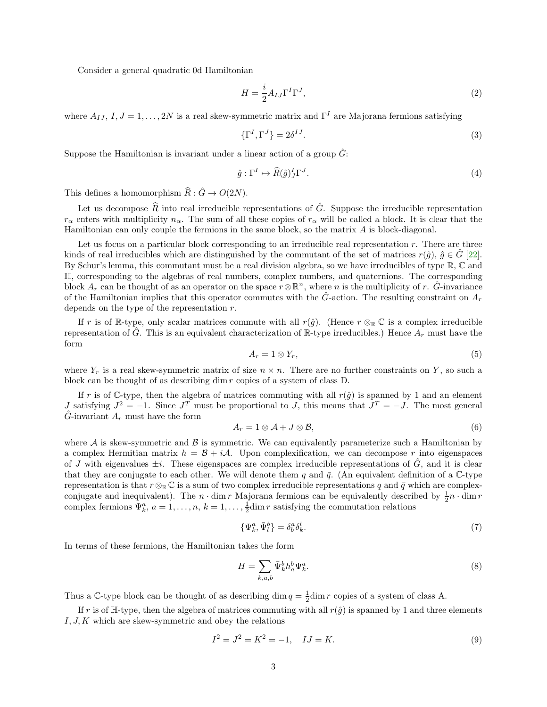Consider a general quadratic 0d Hamiltonian

$$
H = \frac{i}{2} A_{IJ} \Gamma^I \Gamma^J,\tag{2}
$$

where  $A_{I,I}, I, J = 1, \ldots, 2N$  is a real skew-symmetric matrix and  $\Gamma^I$  are Majorana fermions satisfying

$$
\{\Gamma^I, \Gamma^J\} = 2\delta^{IJ}.\tag{3}
$$

Suppose the Hamiltonian is invariant under a linear action of a group  $\hat{G}$ :

$$
\hat{g}: \Gamma^I \mapsto \widehat{R}(\hat{g})_J^I \Gamma^J. \tag{4}
$$

This defines a homomorphism  $\widehat{R} : \widehat{G} \to O(2N)$ .

Let us decompose  $\widehat{R}$  into real irreducible representations of  $\widehat{G}$ . Suppose the irreducible representation  $r_{\alpha}$  enters with multiplicity  $n_{\alpha}$ . The sum of all these copies of  $r_{\alpha}$  will be called a block. It is clear that the Hamiltonian can only couple the fermions in the same block, so the matrix A is block-diagonal.

Let us focus on a particular block corresponding to an irreducible real representation  $r$ . There are three kinds of real irreducibles which are distinguished by the commutant of the set of matrices  $r(\hat{g})$ ,  $\hat{g} \in \hat{G}$  [\[22\]](#page-16-6). By Schur's lemma, this commutant must be a real division algebra, so we have irreducibles of type R, C and H, corresponding to the algebras of real numbers, complex numbers, and quaternions. The corresponding block  $A_r$  can be thought of as an operator on the space  $r \otimes \mathbb{R}^n$ , where n is the multiplicity of r.  $\hat{G}$ -invariance of the Hamiltonian implies that this operator commutes with the  $G$ -action. The resulting constraint on  $A_r$ depends on the type of the representation  $r$ .

If r is of R-type, only scalar matrices commute with all  $r(\hat{g})$ . (Hence  $r \otimes_{\mathbb{R}} \mathbb{C}$  is a complex irreducible representation of  $\tilde{G}$ . This is an equivalent characterization of R-type irreducibles.) Hence  $A_r$  must have the form

$$
A_r = 1 \otimes Y_r,\tag{5}
$$

where  $Y_r$  is a real skew-symmetric matrix of size  $n \times n$ . There are no further constraints on Y, so such a block can be thought of as describing dim r copies of a system of class D.

If r is of C-type, then the algebra of matrices commuting with all  $r(\hat{g})$  is spanned by 1 and an element J satisfying  $J^2 = -1$ . Since  $J^T$  must be proportional to J, this means that  $J^T = -J$ . The most general  $\hat{G}$ -invariant  $A_r$  must have the form

$$
A_r = 1 \otimes \mathcal{A} + J \otimes \mathcal{B},\tag{6}
$$

where  $A$  is skew-symmetric and  $B$  is symmetric. We can equivalently parameterize such a Hamiltonian by a complex Hermitian matrix  $h = \mathcal{B} + i\mathcal{A}$ . Upon complexification, we can decompose r into eigenspaces of J with eigenvalues  $\pm i$ . These eigenspaces are complex irreducible representations of  $\tilde{G}$ , and it is clear that they are conjugate to each other. We will denote them q and  $\bar{q}$ . (An equivalent definition of a C-type representation is that  $r \otimes_{\mathbb{R}} \mathbb{C}$  is a sum of two complex irreducible representations q and  $\bar{q}$  which are complexconjugate and inequivalent). The  $n \cdot \dim r$  Majorana fermions can be equivalently described by  $\frac{1}{2}n \cdot \dim r$ complex fermions  $\Psi_k^a$ ,  $a = 1, \ldots, n$ ,  $k = 1, \ldots, \frac{1}{2}$ dim r satisfying the commutation relations

$$
\{\Psi_k^a, \bar{\Psi}_l^b\} = \delta_b^a \delta_k^l. \tag{7}
$$

In terms of these fermions, the Hamiltonian takes the form

$$
H = \sum_{k,a,b} \bar{\Psi}_k^b h_a^b \Psi_k^a.
$$
 (8)

Thus a C-type block can be thought of as describing  $\dim q = \frac{1}{2} \dim r$  copies of a system of class A.

If r is of  $\mathbb{H}$ -type, then the algebra of matrices commuting with all  $r(\hat{g})$  is spanned by 1 and three elements  $I, J, K$  which are skew-symmetric and obey the relations

$$
I^2 = J^2 = K^2 = -1, \quad IJ = K. \tag{9}
$$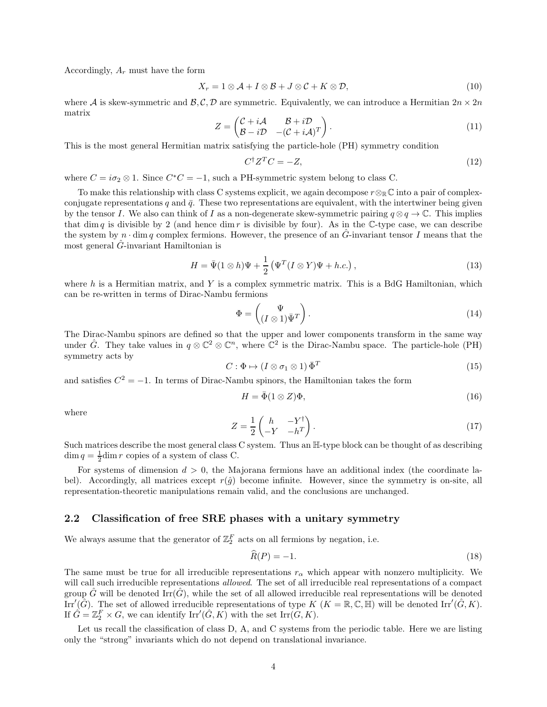Accordingly,  $A_r$  must have the form

$$
X_r = 1 \otimes A + I \otimes B + J \otimes C + K \otimes \mathcal{D}, \tag{10}
$$

where A is skew-symmetric and  $\mathcal{B}, \mathcal{C}, \mathcal{D}$  are symmetric. Equivalently, we can introduce a Hermitian  $2n \times 2n$ matrix

$$
Z = \begin{pmatrix} C + i\mathcal{A} & \mathcal{B} + i\mathcal{D} \\ \mathcal{B} - i\mathcal{D} & -(C + i\mathcal{A})^T \end{pmatrix}.
$$
 (11)

This is the most general Hermitian matrix satisfying the particle-hole (PH) symmetry condition

$$
C^{\dagger}Z^T C = -Z,\tag{12}
$$

where  $C = i\sigma_2 \otimes 1$ . Since  $C^*C = -1$ , such a PH-symmetric system belong to class C.

To make this relationship with class C systems explicit, we again decompose  $r \otimes_{\mathbb{R}} \mathbb{C}$  into a pair of complexconjugate representations q and  $\bar{q}$ . These two representations are equivalent, with the intertwiner being given by the tensor I. We also can think of I as a non-degenerate skew-symmetric pairing  $q \otimes q \to \mathbb{C}$ . This implies that dim q is divisible by 2 (and hence dim  $r$  is divisible by four). As in the C-type case, we can describe the system by  $n \cdot \dim q$  complex fermions. However, the presence of an  $\tilde{G}$ -invariant tensor I means that the most general  $\hat{G}$ -invariant Hamiltonian is

$$
H = \bar{\Psi}(1 \otimes h)\Psi + \frac{1}{2} \left( \Psi^{T} (I \otimes Y)\Psi + h.c. \right), \qquad (13)
$$

where  $h$  is a Hermitian matrix, and Y is a complex symmetric matrix. This is a BdG Hamiltonian, which can be re-written in terms of Dirac-Nambu fermions

$$
\Phi = \begin{pmatrix} \Psi \\ (I \otimes 1)\bar{\Psi}^T \end{pmatrix} . \tag{14}
$$

The Dirac-Nambu spinors are defined so that the upper and lower components transform in the same way under  $\hat{G}$ . They take values in  $q \otimes \mathbb{C}^2 \otimes \mathbb{C}^n$ , where  $\mathbb{C}^2$  is the Dirac-Nambu space. The particle-hole (PH) symmetry acts by

$$
C: \Phi \mapsto (I \otimes \sigma_1 \otimes 1) \,\overline{\Phi}^T \tag{15}
$$

and satisfies  $C^2 = -1$ . In terms of Dirac-Nambu spinors, the Hamiltonian takes the form

$$
H = \bar{\Phi}(1 \otimes Z)\Phi, \tag{16}
$$

where

$$
Z = \frac{1}{2} \begin{pmatrix} h & -Y^{\dagger} \\ -Y & -h^{T} \end{pmatrix} . \tag{17}
$$

Such matrices describe the most general class C system. Thus an  $H$ -type block can be thought of as describing  $\dim q = \frac{1}{2}\dim r$  copies of a system of class C.

For systems of dimension  $d > 0$ , the Majorana fermions have an additional index (the coordinate label). Accordingly, all matrices except  $r(\hat{g})$  become infinite. However, since the symmetry is on-site, all representation-theoretic manipulations remain valid, and the conclusions are unchanged.

#### <span id="page-3-0"></span>2.2 Classification of free SRE phases with a unitary symmetry

We always assume that the generator of  $\mathbb{Z}_2^F$  acts on all fermions by negation, i.e.

$$
\widehat{R}(P) = -1.\tag{18}
$$

The same must be true for all irreducible representations  $r_{\alpha}$  which appear with nonzero multiplicity. We will call such irreducible representations *allowed*. The set of all irreducible real representations of a compact group G will be denoted Irr(G), while the set of all allowed irreducible real representations will be denoted Irr'( $\hat{G}$ ). The set of allowed irreducible representations of type  $K$  ( $K = \mathbb{R}, \mathbb{C}, \mathbb{H}$ ) will be denoted Irr'( $\hat{G}, K$ ). If  $\hat{G} = \mathbb{Z}_2^F \times G$ , we can identify  $\mathrm{Irr}'(\hat{G}, K)$  with the set  $\mathrm{Irr}(G, K)$ .

Let us recall the classification of class D, A, and C systems from the periodic table. Here we are listing only the "strong" invariants which do not depend on translational invariance.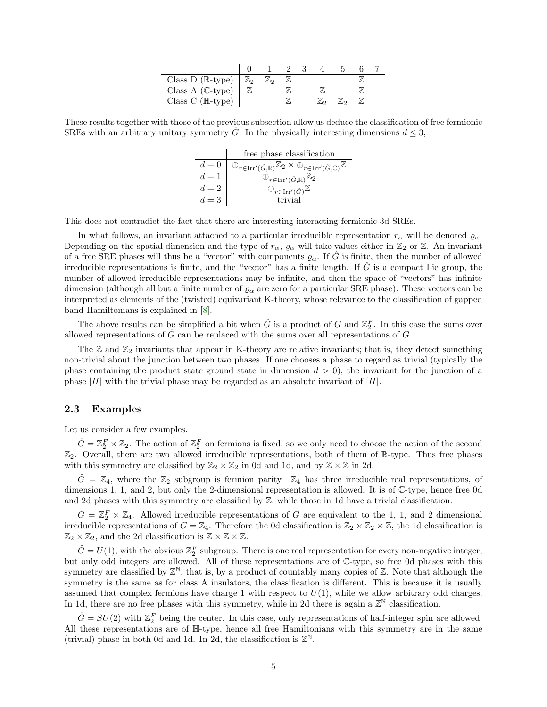| Class D ( $\mathbb{R}$ -type) $\mathbb{Z}_2$ |  |  |  |  |
|----------------------------------------------|--|--|--|--|
| Class A $(\mathbb{C}\text{-type})$           |  |  |  |  |
| Class C ( $\mathbb{H}\text{-type}$ )         |  |  |  |  |

These results together with those of the previous subsection allow us deduce the classification of free fermionic SREs with an arbitrary unitary symmetry G. In the physically interesting dimensions  $d \leq 3$ ,

|       | free phase classification                                                                                                                        |
|-------|--------------------------------------------------------------------------------------------------------------------------------------------------|
| $d=0$ | $\oplus_{r \in \text{Irr}^{\prime}(\hat{G}, \mathbb{R})} \mathbb{Z}_2 \times \oplus_{r \in \text{Irr}^{\prime}(\hat{G}, \mathbb{C})} \mathbb{Z}$ |
| $d=1$ | $\oplus_{r\in\operatorname{Irr}^{\prime}(\hat{G},\mathbb{R})}\mathbb{Z}_2$                                                                       |
| $d=2$ | $\oplus_{r\in\operatorname{Irr}'}\hat{\left(\hat{G}\right)}\mathbb{Z}$                                                                           |
| $d=3$ | trivial                                                                                                                                          |

This does not contradict the fact that there are interesting interacting fermionic 3d SREs.

In what follows, an invariant attached to a particular irreducible representation  $r_\alpha$  will be denoted  $\varrho_\alpha$ . Depending on the spatial dimension and the type of  $r_{\alpha}$ ,  $\varrho_{\alpha}$  will take values either in  $\mathbb{Z}_2$  or  $\mathbb{Z}$ . An invariant of a free SRE phases will thus be a "vector" with components  $\varrho_\alpha$ . If G is finite, then the number of allowed irreducible representations is finite, and the "vector" has a finite length. If  $\hat{G}$  is a compact Lie group, the number of allowed irreducible representations may be infinite, and then the space of "vectors" has infinite dimension (although all but a finite number of  $\varrho_{\alpha}$  are zero for a particular SRE phase). These vectors can be interpreted as elements of the (twisted) equivariant K-theory, whose relevance to the classification of gapped band Hamiltonians is explained in [\[8\]](#page-15-7).

The above results can be simplified a bit when  $\hat{G}$  is a product of G and  $\mathbb{Z}_2^F$ . In this case the sums over allowed representations of  $\hat{G}$  can be replaced with the sums over all representations of  $G$ .

The  $\mathbb Z$  and  $\mathbb Z_2$  invariants that appear in K-theory are relative invariants; that is, they detect something non-trivial about the junction between two phases. If one chooses a phase to regard as trivial (typically the phase containing the product state ground state in dimension  $d > 0$ , the invariant for the junction of a phase  $[H]$  with the trivial phase may be regarded as an absolute invariant of  $[H]$ .

#### 2.3 Examples

Let us consider a few examples.

 $\hat{G} = \mathbb{Z}_2^F \times \mathbb{Z}_2$ . The action of  $\mathbb{Z}_2^F$  on fermions is fixed, so we only need to choose the action of the second  $\mathbb{Z}_2$ . Overall, there are two allowed irreducible representations, both of them of R-type. Thus free phases with this symmetry are classified by  $\mathbb{Z}_2 \times \mathbb{Z}_2$  in 0d and 1d, and by  $\mathbb{Z} \times \mathbb{Z}$  in 2d.

 $\tilde{G} = \mathbb{Z}_4$ , where the  $\mathbb{Z}_2$  subgroup is fermion parity.  $\mathbb{Z}_4$  has three irreducible real representations, of dimensions 1, 1, and 2, but only the 2-dimensional representation is allowed. It is of C-type, hence free 0d and 2d phases with this symmetry are classified by  $\mathbb{Z}$ , while those in 1d have a trivial classification.

 $\hat{G} = \mathbb{Z}_2^F \times \mathbb{Z}_4$ . Allowed irreducible representations of  $\hat{G}$  are equivalent to the 1, 1, and 2 dimensional irreducible representations of  $G = \mathbb{Z}_4$ . Therefore the 0d classification is  $\mathbb{Z}_2 \times \mathbb{Z}_2 \times \mathbb{Z}$ , the 1d classification is  $\mathbb{Z}_2 \times \mathbb{Z}_2$ , and the 2d classification is  $\mathbb{Z} \times \mathbb{Z} \times \mathbb{Z}$ .

 $\hat{G} = U(1)$ , with the obvious  $\mathbb{Z}_2^F$  subgroup. There is one real representation for every non-negative integer, but only odd integers are allowed. All of these representations are of C-type, so free 0d phases with this symmetry are classified by  $\mathbb{Z}^{\mathbb{N}}$ , that is, by a product of countably many copies of  $\mathbb{Z}$ . Note that although the symmetry is the same as for class A insulators, the classification is different. This is because it is usually assumed that complex fermions have charge 1 with respect to  $U(1)$ , while we allow arbitrary odd charges. In 1d, there are no free phases with this symmetry, while in 2d there is again a  $\mathbb{Z}^{\mathbb{N}}$  classification.

 $\hat{G} = SU(2)$  with  $\mathbb{Z}_2^F$  being the center. In this case, only representations of half-integer spin are allowed. All these representations are of H-type, hence all free Hamiltonians with this symmetry are in the same (trivial) phase in both 0d and 1d. In 2d, the classification is  $\mathbb{Z}^{\mathbb{N}}$ .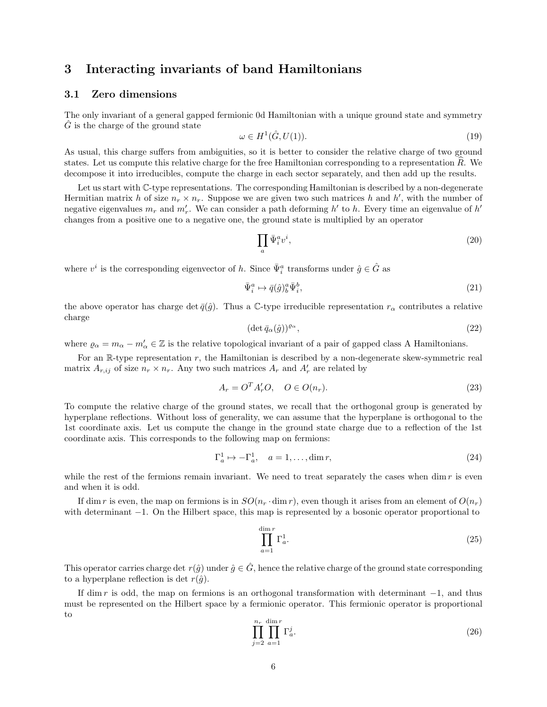## <span id="page-5-0"></span>3 Interacting invariants of band Hamiltonians

#### 3.1 Zero dimensions

The only invariant of a general gapped fermionic 0d Hamiltonian with a unique ground state and symmetry  $\hat{G}$  is the charge of the ground state

$$
\omega \in H^1(\hat{G}, U(1)).\tag{19}
$$

As usual, this charge suffers from ambiguities, so it is better to consider the relative charge of two ground states. Let us compute this relative charge for the free Hamiltonian corresponding to a representation  $\overline{R}$ . We decompose it into irreducibles, compute the charge in each sector separately, and then add up the results.

Let us start with  $\mathbb{C}$ -type representations. The corresponding Hamiltonian is described by a non-degenerate Hermitian matrix h of size  $n_r \times n_r$ . Suppose we are given two such matrices h and h', with the number of negative eigenvalues  $m_r$  and  $m'_r$ . We can consider a path deforming h' to h. Every time an eigenvalue of h' changes from a positive one to a negative one, the ground state is multiplied by an operator

$$
\prod_{a} \bar{\Psi}_i^a v^i,\tag{20}
$$

where  $v^i$  is the corresponding eigenvector of h. Since  $\bar{\Psi}^a_i$  transforms under  $\hat{g} \in \hat{G}$  as

$$
\bar{\Psi}_i^a \mapsto \bar{q}(\hat{g})_b^a \bar{\Psi}_i^b,\tag{21}
$$

the above operator has charge det  $\bar{q}(\hat{g})$ . Thus a C-type irreducible representation  $r_{\alpha}$  contributes a relative charge

$$
(\det \bar{q}_{\alpha}(\hat{g}))^{\varrho_{\alpha}},\tag{22}
$$

where  $\varrho_{\alpha} = m_{\alpha} - m'_{\alpha} \in \mathbb{Z}$  is the relative topological invariant of a pair of gapped class A Hamiltonians.

For an  $\mathbb{R}$ -type representation  $r$ , the Hamiltonian is described by a non-degenerate skew-symmetric real matrix  $A_{r,ij}$  of size  $n_r \times n_r$ . Any two such matrices  $A_r$  and  $A'_r$  are related by

$$
A_r = O^T A'_r O, \quad O \in O(n_r). \tag{23}
$$

To compute the relative charge of the ground states, we recall that the orthogonal group is generated by hyperplane reflections. Without loss of generality, we can assume that the hyperplane is orthogonal to the 1st coordinate axis. Let us compute the change in the ground state charge due to a reflection of the 1st coordinate axis. This corresponds to the following map on fermions:

$$
\Gamma_a^1 \mapsto -\Gamma_a^1, \quad a = 1, \dots, \dim r,\tag{24}
$$

while the rest of the fermions remain invariant. We need to treat separately the cases when dim  $r$  is even and when it is odd.

If dim r is even, the map on fermions is in  $SO(n_r \cdot \dim r)$ , even though it arises from an element of  $O(n_r)$ with determinant −1. On the Hilbert space, this map is represented by a bosonic operator proportional to

$$
\prod_{a=1}^{\dim r} \Gamma_a^1.
$$
\n(25)

This operator carries charge det  $r(\hat{g})$  under  $\hat{g} \in \hat{G}$ , hence the relative charge of the ground state corresponding to a hyperplane reflection is det  $r(\hat{g})$ .

If dim r is odd, the map on fermions is an orthogonal transformation with determinant  $-1$ , and thus must be represented on the Hilbert space by a fermionic operator. This fermionic operator is proportional to

$$
\prod_{j=2}^{n_r} \prod_{a=1}^{\dim r} \Gamma_a^j.
$$
\n(26)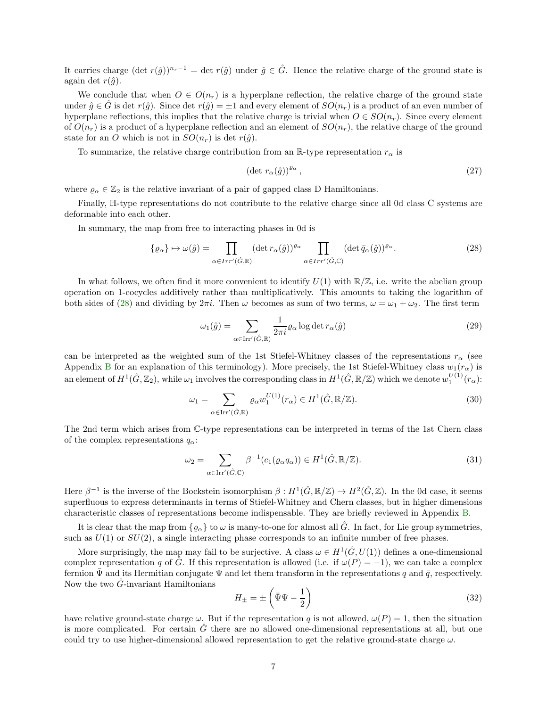It carries charge  $(\det r(\hat{q}))^{n_r-1} = \det r(\hat{q})$  under  $\hat{q} \in \hat{G}$ . Hence the relative charge of the ground state is again det  $r(\hat{q})$ .

We conclude that when  $O \in O(n_r)$  is a hyperplane reflection, the relative charge of the ground state under  $\hat{q} \in \hat{G}$  is det  $r(\hat{q})$ . Since det  $r(\hat{q}) = \pm 1$  and every element of  $SO(n_r)$  is a product of an even number of hyperplane reflections, this implies that the relative charge is trivial when  $O \in SO(n_r)$ . Since every element of  $O(n_r)$  is a product of a hyperplane reflection and an element of  $SO(n_r)$ , the relative charge of the ground state for an O which is not in  $SO(n_r)$  is det  $r(\hat{g})$ .

To summarize, the relative charge contribution from an R-type representation  $r_{\alpha}$  is

$$
(\det r_{\alpha}(\hat{g}))^{\varrho_{\alpha}},\tag{27}
$$

where  $\varrho_{\alpha} \in \mathbb{Z}_2$  is the relative invariant of a pair of gapped class D Hamiltonians.

Finally, H-type representations do not contribute to the relative charge since all 0d class C systems are deformable into each other.

In summary, the map from free to interacting phases in 0d is

<span id="page-6-0"></span>
$$
\{\varrho_{\alpha}\}\mapsto\omega(\hat{g})=\prod_{\alpha\in Irr'(\hat{G}, \mathbb{R})}(\det r_{\alpha}(\hat{g}))^{\varrho_{\alpha}}\prod_{\alpha\in Irr'(\hat{G}, \mathbb{C})}(\det \bar{q}_{\alpha}(\hat{g}))^{\varrho_{\alpha}}.
$$
\n(28)

In what follows, we often find it more convenient to identify  $U(1)$  with  $\mathbb{R}/\mathbb{Z}$ , i.e. write the abelian group operation on 1-cocycles additively rather than multiplicatively. This amounts to taking the logarithm of both sides of [\(28\)](#page-6-0) and dividing by  $2\pi i$ . Then  $\omega$  becomes as sum of two terms,  $\omega = \omega_1 + \omega_2$ . The first term

$$
\omega_1(\hat{g}) = \sum_{\alpha \in \text{Irr}'(\hat{G}, \mathbb{R})} \frac{1}{2\pi i} \varrho_\alpha \log \det r_\alpha(\hat{g}) \tag{29}
$$

can be interpreted as the weighted sum of the 1st Stiefel-Whitney classes of the representations  $r_{\alpha}$  (see Appendix [B](#page-12-0) for an explanation of this terminology). More precisely, the 1st Stiefel-Whitney class  $w_1(r_\alpha)$  is an element of  $H^1(\hat{G}, \mathbb{Z}_2)$ , while  $\omega_1$  involves the corresponding class in  $H^1(\hat{G}, \mathbb{R}/\mathbb{Z})$  which we denote  $w_1^{U(1)}(r_{\alpha})$ :

$$
\omega_1 = \sum_{\alpha \in \text{Irr}^{\prime}(\hat{G}, \mathbb{R})} \varrho_{\alpha} w_1^{U(1)}(r_{\alpha}) \in H^1(\hat{G}, \mathbb{R}/\mathbb{Z}).
$$
\n(30)

The 2nd term which arises from C-type representations can be interpreted in terms of the 1st Chern class of the complex representations  $q_{\alpha}$ :

$$
\omega_2 = \sum_{\alpha \in \text{Irr}^{\prime}(\hat{G}, \mathbb{C})} \beta^{-1}(c_1(\varrho_{\alpha}q_{\alpha})) \in H^1(\hat{G}, \mathbb{R}/\mathbb{Z}).
$$
\n(31)

Here  $\beta^{-1}$  is the inverse of the Bockstein isomorphism  $\beta: H^1(\hat{G}, \mathbb{R}/\mathbb{Z}) \to H^2(\hat{G}, \mathbb{Z})$ . In the 0d case, it seems superfluous to express determinants in terms of Stiefel-Whitney and Chern classes, but in higher dimensions characteristic classes of representations become indispensable. They are briefly reviewed in Appendix [B.](#page-12-0)

It is clear that the map from  $\{ \varrho_\alpha \}$  to  $\omega$  is many-to-one for almost all  $\tilde{G}$ . In fact, for Lie group symmetries, such as  $U(1)$  or  $SU(2)$ , a single interacting phase corresponds to an infinite number of free phases.

More surprisingly, the map may fail to be surjective. A class  $\omega \in H^1(\hat{G}, U(1))$  defines a one-dimensional complex representation q of G $\hat{G}$ . If this representation is allowed (i.e. if  $\omega(P) = -1$ ), we can take a complex fermion  $\bar{\Psi}$  and its Hermitian conjugate  $\Psi$  and let them transform in the representations q and  $\bar{q}$ , respectively. Now the two  $\ddot{G}$ -invariant Hamiltonians

$$
H_{\pm} = \pm \left(\bar{\Psi}\Psi - \frac{1}{2}\right) \tag{32}
$$

have relative ground-state charge  $\omega$ . But if the representation q is not allowed,  $\omega(P) = 1$ , then the situation is more complicated. For certain  $G$  there are no allowed one-dimensional representations at all, but one could try to use higher-dimensional allowed representation to get the relative ground-state charge  $\omega$ .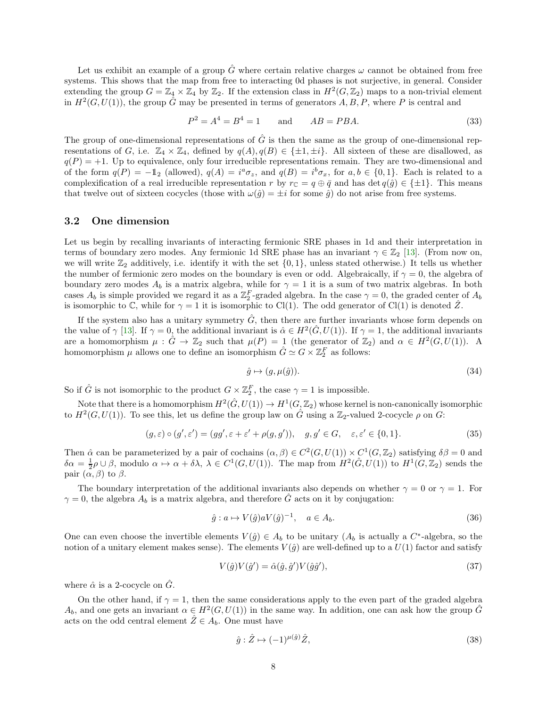Let us exhibit an example of a group  $\hat{G}$  where certain relative charges  $\omega$  cannot be obtained from free systems. This shows that the map from free to interacting 0d phases is not surjective, in general. Consider extending the group  $G = \mathbb{Z}_4 \times \mathbb{Z}_4$  by  $\mathbb{Z}_2$ . If the extension class in  $H^2(G, \mathbb{Z}_2)$  maps to a non-trivial element in  $H^2(G, U(1))$ , the group  $\hat{G}$  may be presented in terms of generators  $A, B, P$ , where P is central and

$$
P^2 = A^4 = B^4 = 1 \qquad \text{and} \qquad AB = PBA. \tag{33}
$$

The group of one-dimensional representations of  $\ddot{G}$  is then the same as the group of one-dimensional representations of G, i.e.  $\mathbb{Z}_4 \times \mathbb{Z}_4$ , defined by  $q(A), q(B) \in \{\pm 1, \pm i\}$ . All sixteen of these are disallowed, as  $q(P) = +1$ . Up to equivalence, only four irreducible representations remain. They are two-dimensional and of the form  $q(P) = -\mathbb{1}_2$  (allowed),  $q(A) = i^a \sigma_z$ , and  $q(B) = i^b \sigma_x$ , for  $a, b \in \{0, 1\}$ . Each is related to a complexification of a real irreducible representation r by  $r_{\mathbb{C}} = q \oplus \overline{q}$  and has  $\det q(\hat{q}) \in \{\pm 1\}$ . This means that twelve out of sixteen cocycles (those with  $\omega(\hat{g}) = \pm i$  for some  $\hat{g}$ ) do not arise from free systems.

#### <span id="page-7-0"></span>3.2 One dimension

Let us begin by recalling invariants of interacting fermionic SRE phases in 1d and their interpretation in terms of boundary zero modes. Any fermionic 1d SRE phase has an invariant  $\gamma \in \mathbb{Z}_2$  [\[13\]](#page-15-10). (From now on, we will write  $\mathbb{Z}_2$  additively, i.e. identify it with the set  $\{0, 1\}$ , unless stated otherwise.) It tells us whether the number of fermionic zero modes on the boundary is even or odd. Algebraically, if  $\gamma = 0$ , the algebra of boundary zero modes  $A_b$  is a matrix algebra, while for  $\gamma = 1$  it is a sum of two matrix algebras. In both cases  $A_b$  is simple provided we regard it as a  $\mathbb{Z}_2^F$ -graded algebra. In the case  $\gamma = 0$ , the graded center of  $A_b$ is isomorphic to  $\mathbb{C}$ , while for  $\gamma = 1$  it is isomorphic to Cl(1). The odd generator of Cl(1) is denoted  $\mathbb{Z}$ .

If the system also has a unitary symmetry  $\tilde{G}$ , then there are further invariants whose form depends on the value of  $\gamma$  [\[13\]](#page-15-10). If  $\gamma = 0$ , the additional invariant is  $\hat{\alpha} \in H^2(\hat{G}, U(1))$ . If  $\gamma = 1$ , the additional invariants are a homomorphism  $\mu : \hat{G} \to \mathbb{Z}_2$  such that  $\mu(P) = 1$  (the generator of  $\mathbb{Z}_2$ ) and  $\alpha \in H^2(G, U(1))$ . A homomorphism  $\mu$  allows one to define an isomorphism  $\hat{G} \simeq G \times \mathbb{Z}_2^F$  as follows:

$$
\hat{g} \mapsto (g, \mu(\hat{g})). \tag{34}
$$

So if  $\hat{G}$  is not isomorphic to the product  $G \times \mathbb{Z}_2^F$ , the case  $\gamma = 1$  is impossible.

Note that there is a homomorphism  $H^2(\hat{G}, U(1)) \to H^1(G, \mathbb{Z}_2)$  whose kernel is non-canonically isomorphic to  $H^2(G, U(1))$ . To see this, let us define the group law on  $\hat{G}$  using a  $\mathbb{Z}_2$ -valued 2-cocycle  $\rho$  on  $G$ :

$$
(g, \varepsilon) \circ (g', \varepsilon') = (gg', \varepsilon + \varepsilon' + \rho(g, g')), \quad g, g' \in G, \quad \varepsilon, \varepsilon' \in \{0, 1\}.
$$
 (35)

Then  $\hat{\alpha}$  can be parameterized by a pair of cochains  $(\alpha, \beta) \in C^2(G, U(1)) \times C^1(G, \mathbb{Z}_2)$  satisfying  $\delta \beta = 0$  and  $\delta \alpha = \frac{1}{2} \rho \cup \beta$ , modulo  $\alpha \mapsto \alpha + \delta \lambda$ ,  $\lambda \in C^1(G, U(1))$ . The map from  $H^2(\hat{G}, U(1))$  to  $H^1(G, \mathbb{Z}_2)$  sends the pair  $(\alpha, \beta)$  to  $\beta$ .

The boundary interpretation of the additional invariants also depends on whether  $\gamma = 0$  or  $\gamma = 1$ . For  $\gamma = 0$ , the algebra  $A_b$  is a matrix algebra, and therefore G acts on it by conjugation:

$$
\hat{g} : a \mapsto V(\hat{g})aV(\hat{g})^{-1}, \quad a \in A_b.
$$
\n
$$
(36)
$$

One can even choose the invertible elements  $V(\hat{g}) \in A_b$  to be unitary  $(A_b$  is actually a  $C^*$ -algebra, so the notion of a unitary element makes sense). The elements  $V(\hat{g})$  are well-defined up to a  $U(1)$  factor and satisfy

$$
V(\hat{g})V(\hat{g}') = \hat{\alpha}(\hat{g}, \hat{g}')V(\hat{g}\hat{g}'),\tag{37}
$$

where  $\hat{\alpha}$  is a 2-cocycle on  $\hat{G}$ .

On the other hand, if  $\gamma = 1$ , then the same considerations apply to the even part of the graded algebra  $A_b$ , and one gets an invariant  $\alpha \in H^2(G, U(1))$  in the same way. In addition, one can ask how the group  $\hat{G}$ acts on the odd central element  $\hat{Z} \in A_b$ . One must have

$$
\hat{g} : \hat{Z} \mapsto (-1)^{\mu(\hat{g})} \hat{Z},\tag{38}
$$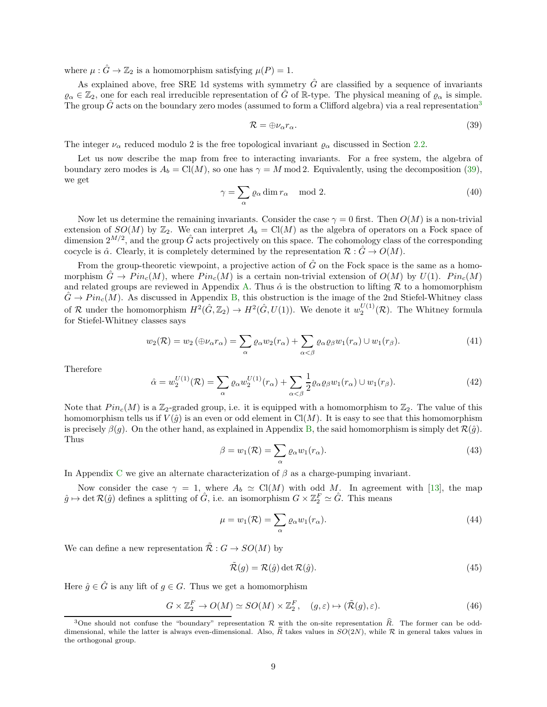where  $\mu : \hat{G} \to \mathbb{Z}_2$  is a homomorphism satisfying  $\mu(P) = 1$ .

As explained above, free SRE 1d systems with symmetry  $\hat{G}$  are classified by a sequence of invariants  $\varrho_{\alpha} \in \mathbb{Z}_2$ , one for each real irreducible representation of  $\hat{G}$  of R-type. The physical meaning of  $\varrho_{\alpha}$  is simple. The group  $\tilde{G}$  acts on the boundary zero modes (assumed to form a Clifford algebra) via a real representation<sup>[3](#page-8-0)</sup>

<span id="page-8-1"></span>
$$
\mathcal{R} = \bigoplus \nu_{\alpha} r_{\alpha}.\tag{39}
$$

The integer  $\nu_{\alpha}$  reduced modulo 2 is the free topological invariant  $\rho_{\alpha}$  discussed in Section [2.2.](#page-3-0)

Let us now describe the map from free to interacting invariants. For a free system, the algebra of boundary zero modes is  $A_b = \text{Cl}(M)$ , so one has  $\gamma = M \text{ mod } 2$ . Equivalently, using the decomposition [\(39\)](#page-8-1), we get

$$
\gamma = \sum_{\alpha} \varrho_{\alpha} \dim r_{\alpha} \mod 2. \tag{40}
$$

Now let us determine the remaining invariants. Consider the case  $\gamma = 0$  first. Then  $O(M)$  is a non-trivial extension of  $SO(M)$  by  $\mathbb{Z}_2$ . We can interpret  $A_b = Cl(M)$  as the algebra of operators on a Fock space of dimension  $2^{M/2}$ , and the group  $\hat{G}$  acts projectively on this space. The cohomology class of the corresponding cocycle is  $\hat{\alpha}$ . Clearly, it is completely determined by the representation  $\mathcal{R}: G \to O(M)$ .

From the group-theoretic viewpoint, a projective action of  $\hat{G}$  on the Fock space is the same as a homomorphism  $\hat{G} \to Pin_c(M)$ , where  $Pin_c(M)$  is a certain non-trivial extension of  $O(M)$  by  $U(1)$ .  $Pin_c(M)$ and related groups are reviewed in Appendix [A.](#page-11-0) Thus  $\hat{\alpha}$  is the obstruction to lifting  $\mathcal R$  to a homomorphism  $G \to Pin_c(M)$ . As discussed in Appendix [B,](#page-12-0) this obstruction is the image of the 2nd Stiefel-Whitney class of R under the homomorphism  $H^2(\hat{G}, \mathbb{Z}_2) \to H^2(\hat{G}, U(1))$ . We denote it  $w_2^{U(1)}(\mathcal{R})$ . The Whitney formula for Stiefel-Whitney classes says

$$
w_2(\mathcal{R}) = w_2(\bigoplus \nu_\alpha r_\alpha) = \sum_{\alpha} \varrho_\alpha w_2(r_\alpha) + \sum_{\alpha < \beta} \varrho_\alpha \varrho_\beta w_1(r_\alpha) \cup w_1(r_\beta). \tag{41}
$$

Therefore

$$
\hat{\alpha} = w_2^{U(1)}(\mathcal{R}) = \sum_{\alpha} \varrho_{\alpha} w_2^{U(1)}(r_{\alpha}) + \sum_{\alpha < \beta} \frac{1}{2} \varrho_{\alpha} \varrho_{\beta} w_1(r_{\alpha}) \cup w_1(r_{\beta}).\tag{42}
$$

Note that  $Pin_c(M)$  is a  $\mathbb{Z}_2$ -graded group, i.e. it is equipped with a homomorphism to  $\mathbb{Z}_2$ . The value of this homomorphism tells us if  $V(\hat{g})$  is an even or odd element in Cl(M). It is easy to see that this homomorphism is precisely  $\beta(q)$ . On the other hand, as explained in Appendix [B,](#page-12-0) the said homomorphism is simply det  $\mathcal{R}(\hat{q})$ . Thus

$$
\beta = w_1(\mathcal{R}) = \sum_{\alpha} \varrho_{\alpha} w_1(r_{\alpha}). \tag{43}
$$

In Appendix [C](#page-13-0) we give an alternate characterization of  $\beta$  as a charge-pumping invariant.

Now consider the case  $\gamma = 1$ , where  $A_b \simeq \text{Cl}(M)$  with odd M. In agreement with [\[13\]](#page-15-10), the map  $\hat{g} \mapsto \det \mathcal{R}(\hat{g})$  defines a splitting of  $\hat{G}$ , i.e. an isomorphism  $G \times \mathbb{Z}_2^F \simeq \hat{G}$ . This means

$$
\mu = w_1(\mathcal{R}) = \sum_{\alpha} \varrho_{\alpha} w_1(r_{\alpha}). \tag{44}
$$

We can define a new representation  $\tilde{\mathcal{R}}$  :  $G \to SO(M)$  by

$$
\tilde{\mathcal{R}}(g) = \mathcal{R}(\hat{g}) \det \mathcal{R}(\hat{g}). \tag{45}
$$

Here  $\hat{g} \in \hat{G}$  is any lift of  $g \in G$ . Thus we get a homomorphism

$$
G \times \mathbb{Z}_2^F \to O(M) \simeq SO(M) \times \mathbb{Z}_2^F, \quad (g, \varepsilon) \mapsto (\tilde{\mathcal{R}}(g), \varepsilon). \tag{46}
$$

<span id="page-8-0"></span><sup>&</sup>lt;sup>3</sup>One should not confuse the "boundary" representation  $\mathcal R$  with the on-site representation  $\hat R$ . The former can be odddimensional, while the latter is always even-dimensional. Also,  $\hat{R}$  takes values in  $SO(2N)$ , while  $\cal{R}$  in general takes values in the orthogonal group.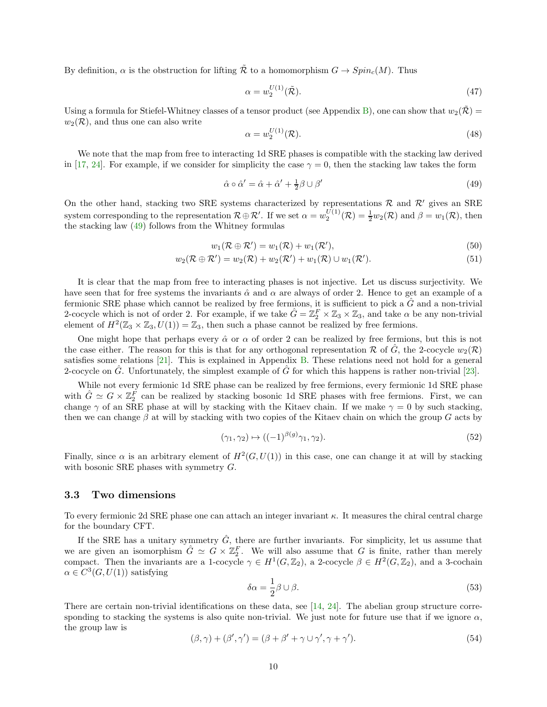By definition,  $\alpha$  is the obstruction for lifting  $\tilde{\mathcal{R}}$  to a homomorphism  $G \to Spin_c(M)$ . Thus

$$
\alpha = w_2^{U(1)}(\tilde{\mathcal{R}}). \tag{47}
$$

Using a formula for Stiefel-Whitney classes of a tensor product (see Appendix [B\)](#page-12-0), one can show that  $w_2(\mathcal{R}) =$  $w_2(\mathcal{R})$ , and thus one can also write

$$
\alpha = w_2^{U(1)}(\mathcal{R}).\tag{48}
$$

We note that the map from free to interacting 1d SRE phases is compatible with the stacking law derived in [\[17,](#page-16-1) [24\]](#page-16-7). For example, if we consider for simplicity the case  $\gamma = 0$ , then the stacking law takes the form

<span id="page-9-0"></span>
$$
\hat{\alpha} \circ \hat{\alpha}' = \hat{\alpha} + \hat{\alpha}' + \frac{1}{2}\beta \cup \beta' \tag{49}
$$

On the other hand, stacking two SRE systems characterized by representations  $\mathcal R$  and  $\mathcal R'$  gives an SRE system corresponding to the representation  $\mathcal{R} \oplus \mathcal{R}'$ . If we set  $\alpha = w_2^{U(1)}(\mathcal{R}) = \frac{1}{2}w_2(\mathcal{R})$  and  $\beta = w_1(\mathcal{R})$ , then the stacking law [\(49\)](#page-9-0) follows from the Whitney formulas

$$
w_1(\mathcal{R} \oplus \mathcal{R}') = w_1(\mathcal{R}) + w_1(\mathcal{R}'), \tag{50}
$$

$$
w_2(\mathcal{R} \oplus \mathcal{R}') = w_2(\mathcal{R}) + w_2(\mathcal{R}') + w_1(\mathcal{R}) \cup w_1(\mathcal{R}').
$$
\n
$$
(51)
$$

It is clear that the map from free to interacting phases is not injective. Let us discuss surjectivity. We have seen that for free systems the invariants  $\hat{\alpha}$  and  $\alpha$  are always of order 2. Hence to get an example of a fermionic SRE phase which cannot be realized by free fermions, it is sufficient to pick a  $\hat{G}$  and a non-trivial 2-cocycle which is not of order 2. For example, if we take  $\hat{G} = \mathbb{Z}_2^F \times \mathbb{Z}_3 \times \mathbb{Z}_3$ , and take  $\alpha$  be any non-trivial element of  $H^2(\mathbb{Z}_3 \times \mathbb{Z}_3, U(1)) = \mathbb{Z}_3$ , then such a phase cannot be realized by free fermions.

One might hope that perhaps every  $\hat{\alpha}$  or  $\alpha$  of order 2 can be realized by free fermions, but this is not the case either. The reason for this is that for any orthogonal representation R of G, the 2-cocycle  $w_2(\mathcal{R})$ satisfies some relations  $[21]$ . This is explained in Appendix [B.](#page-12-0) These relations need not hold for a general 2-cocycle on  $\tilde{G}$ . Unfortunately, the simplest example of  $\tilde{G}$  for which this happens is rather non-trivial [\[23\]](#page-16-8).

While not every fermionic 1d SRE phase can be realized by free fermions, every fermionic 1d SRE phase with  $\hat{G} \simeq G \times \mathbb{Z}_2^F$  can be realized by stacking bosonic 1d SRE phases with free fermions. First, we can change  $\gamma$  of an SRE phase at will by stacking with the Kitaev chain. If we make  $\gamma = 0$  by such stacking, then we can change  $\beta$  at will by stacking with two copies of the Kitaev chain on which the group G acts by

$$
(\gamma_1, \gamma_2) \mapsto ((-1)^{\beta(g)}\gamma_1, \gamma_2). \tag{52}
$$

Finally, since  $\alpha$  is an arbitrary element of  $H^2(G, U(1))$  in this case, one can change it at will by stacking with bosonic SRE phases with symmetry G.

#### <span id="page-9-1"></span>3.3 Two dimensions

To every fermionic 2d SRE phase one can attach an integer invariant κ. It measures the chiral central charge for the boundary CFT.

If the SRE has a unitary symmetry  $\hat{G}$ , there are further invariants. For simplicity, let us assume that we are given an isomorphism  $\hat{G} \simeq G \times \mathbb{Z}_2^F$ . We will also assume that G is finite, rather than merely compact. Then the invariants are a 1-cocycle  $\gamma \in H^1(G, \mathbb{Z}_2)$ , a 2-cocycle  $\beta \in H^2(G, \mathbb{Z}_2)$ , and a 3-cochain  $\alpha \in C^3(G, U(1))$  satisfying

$$
\delta \alpha = \frac{1}{2} \beta \cup \beta. \tag{53}
$$

There are certain non-trivial identifications on these data, see [\[14,](#page-15-11) [24\]](#page-16-7). The abelian group structure corresponding to stacking the systems is also quite non-trivial. We just note for future use that if we ignore  $\alpha$ , the group law is

$$
(\beta, \gamma) + (\beta', \gamma') = (\beta + \beta' + \gamma \cup \gamma', \gamma + \gamma'). \tag{54}
$$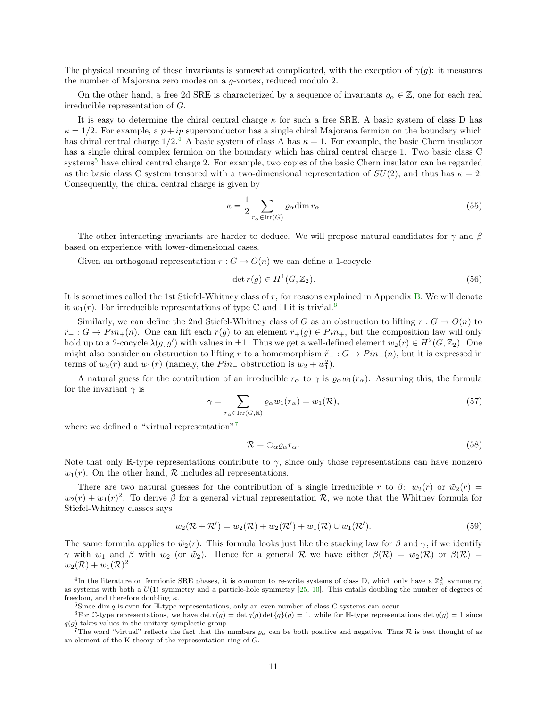The physical meaning of these invariants is somewhat complicated, with the exception of  $\gamma(q)$ : it measures the number of Majorana zero modes on a g-vortex, reduced modulo 2.

On the other hand, a free 2d SRE is characterized by a sequence of invariants  $\varrho_{\alpha} \in \mathbb{Z}$ , one for each real irreducible representation of G.

It is easy to determine the chiral central charge  $\kappa$  for such a free SRE. A basic system of class D has  $\kappa = 1/2$ . For example, a  $p + ip$  superconductor has a single chiral Majorana fermion on the boundary which has chiral central charge  $1/2<sup>4</sup>$  $1/2<sup>4</sup>$  $1/2<sup>4</sup>$  A basic system of class A has  $\kappa = 1$ . For example, the basic Chern insulator has a single chiral complex fermion on the boundary which has chiral central charge 1. Two basic class C systems<sup>[5](#page-10-1)</sup> have chiral central charge 2. For example, two copies of the basic Chern insulator can be regarded as the basic class C system tensored with a two-dimensional representation of  $SU(2)$ , and thus has  $\kappa = 2$ . Consequently, the chiral central charge is given by

$$
\kappa = \frac{1}{2} \sum_{r_{\alpha} \in \text{Irr}(G)} \varrho_{\alpha} \dim r_{\alpha} \tag{55}
$$

The other interacting invariants are harder to deduce. We will propose natural candidates for  $\gamma$  and  $\beta$ based on experience with lower-dimensional cases.

Given an orthogonal representation  $r : G \to O(n)$  we can define a 1-cocycle

$$
\det r(g) \in H^1(G, \mathbb{Z}_2). \tag{56}
$$

It is sometimes called the 1st Stiefel-Whitney class of r, for reasons explained in Appendix [B.](#page-12-0) We will denote it  $w_1(r)$ . For irreducible representations of type C and H it is trivial.<sup>[6](#page-10-2)</sup>

Similarly, we can define the 2nd Stiefel-Whitney class of G as an obstruction to lifting  $r : G \to O(n)$  to  $\tilde{r}_+ : G \to Pin_+(n)$ . One can lift each  $r(g)$  to an element  $\tilde{r}_+(g) \in Pin_+$ , but the composition law will only hold up to a 2-cocycle  $\lambda(g, g')$  with values in  $\pm 1$ . Thus we get a well-defined element  $w_2(r) \in H^2(G, \mathbb{Z}_2)$ . One might also consider an obstruction to lifting r to a homomorphism  $\tilde{r}_- : G \to Pin_-(n)$ , but it is expressed in terms of  $w_2(r)$  and  $w_1(r)$  (namely, the  $Pin_-$  obstruction is  $w_2 + w_1^2$ ).

A natural guess for the contribution of an irreducible  $r_{\alpha}$  to  $\gamma$  is  $\varrho_{\alpha}w_1(r_{\alpha})$ . Assuming this, the formula for the invariant  $\gamma$  is

$$
\gamma = \sum_{r_{\alpha} \in \text{Irr}(G,\mathbb{R})} \varrho_{\alpha} w_1(r_{\alpha}) = w_1(\mathcal{R}),\tag{57}
$$

where we defined a "virtual representation"<sup>[7](#page-10-3)</sup>

$$
\mathcal{R} = \bigoplus_{\alpha} \varrho_{\alpha} r_{\alpha}.\tag{58}
$$

Note that only R-type representations contribute to  $\gamma$ , since only those representations can have nonzero  $w_1(r)$ . On the other hand,  $\mathcal R$  includes all representations.

There are two natural guesses for the contribution of a single irreducible r to  $\beta$ :  $w_2(r)$  or  $\tilde{w}_2(r)$  =  $w_2(r) + w_1(r)^2$ . To derive  $\beta$  for a general virtual representation R, we note that the Whitney formula for Stiefel-Whitney classes says

$$
w_2(\mathcal{R} + \mathcal{R}') = w_2(\mathcal{R}) + w_2(\mathcal{R}') + w_1(\mathcal{R}) \cup w_1(\mathcal{R}').
$$
\n
$$
(59)
$$

The same formula applies to  $\tilde{w}_2(r)$ . This formula looks just like the stacking law for  $\beta$  and  $\gamma$ , if we identify γ with  $w_1$  and β with  $w_2$  (or  $\tilde{w}_2$ ). Hence for a general R we have either  $\beta(\mathcal{R}) = w_2(\mathcal{R})$  or  $\beta(\mathcal{R}) =$  $w_2(\mathcal{R}) + w_1(\mathcal{R})^2$ .

<span id="page-10-0"></span><sup>&</sup>lt;sup>4</sup>In the literature on fermionic SRE phases, it is common to re-write systems of class D, which only have a  $\mathbb{Z}_2^F$  symmetry, as systems with both a  $U(1)$  symmetry and a particle-hole symmetry  $[25, 10]$  $[25, 10]$ . This entails doubling the number of degrees of freedom, and therefore doubling  $\kappa$ .

<span id="page-10-1"></span><sup>&</sup>lt;sup>5</sup>Since dim q is even for H-type representations, only an even number of class C systems can occur.

<sup>&</sup>lt;sup>6</sup>For C-type representations, we have det  $r(g) = \det q(g) \det \{\bar{q}\}(g) = 1$ , while for H-type representations  $\det q(g) = 1$  since  $q(\ensuremath{g}\xspace)$  takes values in the unitary symplectic group.

<span id="page-10-3"></span><span id="page-10-2"></span><sup>&</sup>lt;sup>7</sup>The word "virtual" reflects the fact that the numbers  $\varrho_\alpha$  can be both positive and negative. Thus R is best thought of as an element of the K-theory of the representation ring of G.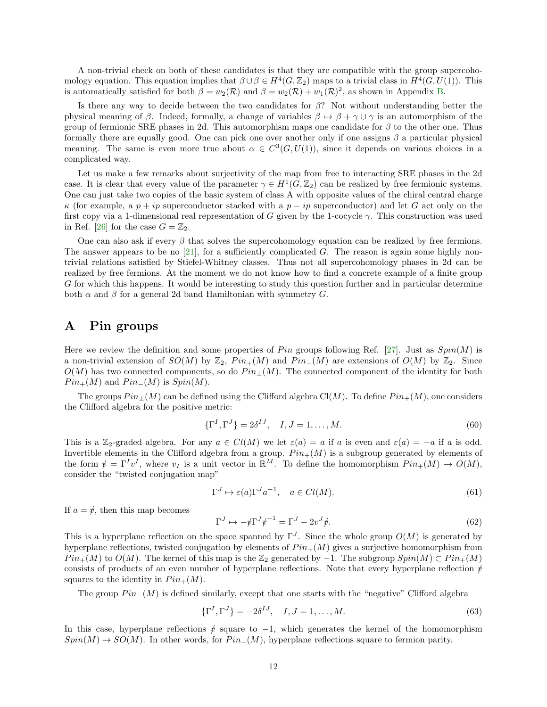A non-trivial check on both of these candidates is that they are compatible with the group supercohomology equation. This equation implies that  $\beta \cup \beta \in H^4(G, \mathbb{Z}_2)$  maps to a trivial class in  $H^4(G, U(1))$ . This is automatically satisfied for both  $\beta = w_2(\mathcal{R})$  and  $\beta = w_2(\mathcal{R}) + w_1(\mathcal{R})^2$ , as shown in Appendix [B.](#page-12-0)

Is there any way to decide between the two candidates for  $\beta$ ? Not without understanding better the physical meaning of β. Indeed, formally, a change of variables  $\beta \mapsto \beta + \gamma \cup \gamma$  is an automorphism of the group of fermionic SRE phases in 2d. This automorphism maps one candidate for  $\beta$  to the other one. Thus formally there are equally good. One can pick one over another only if one assigns  $\beta$  a particular physical meaning. The same is even more true about  $\alpha \in C^3(G, U(1))$ , since it depends on various choices in a complicated way.

Let us make a few remarks about surjectivity of the map from free to interacting SRE phases in the 2d case. It is clear that every value of the parameter  $\gamma \in H^1(G,\mathbb{Z}_2)$  can be realized by free fermionic systems. One can just take two copies of the basic system of class A with opposite values of the chiral central charge  $\kappa$  (for example, a  $p + ip$  superconductor stacked with a  $p - ip$  superconductor) and let G act only on the first copy via a 1-dimensional real representation of G given by the 1-cocycle  $\gamma$ . This construction was used in Ref. [\[26\]](#page-16-10) for the case  $G = \mathbb{Z}_2$ .

One can also ask if every  $\beta$  that solves the supercohomology equation can be realized by free fermions. The answer appears to be no [\[21\]](#page-16-5), for a sufficiently complicated G. The reason is again some highly nontrivial relations satisfied by Stiefel-Whitney classes. Thus not all supercohomology phases in 2d can be realized by free fermions. At the moment we do not know how to find a concrete example of a finite group G for which this happens. It would be interesting to study this question further and in particular determine both  $\alpha$  and  $\beta$  for a general 2d band Hamiltonian with symmetry G.

## <span id="page-11-0"></span>A Pin groups

Here we review the definition and some properties of Pin groups following Ref. [\[27\]](#page-16-11). Just as  $Spin(M)$  is a non-trivial extension of  $SO(M)$  by  $\mathbb{Z}_2$ ,  $Pin_+(M)$  and  $Pin_-(M)$  are extensions of  $O(M)$  by  $\mathbb{Z}_2$ . Since  $O(M)$  has two connected components, so do  $Pin_{\pm}(M)$ . The connected component of the identity for both  $Pin_{+}(M)$  and  $Pin_{-}(M)$  is  $Spin(M)$ .

The groups  $Pin_{\pm}(M)$  can be defined using the Clifford algebra Cl(M). To define  $Pin_{+}(M)$ , one considers the Clifford algebra for the positive metric:

$$
\{\Gamma^I, \Gamma^J\} = 2\delta^{IJ}, \quad I, J = 1, \dots, M. \tag{60}
$$

This is a Z<sub>2</sub>-graded algebra. For any  $a \in Cl(M)$  we let  $\varepsilon(a) = a$  if a is even and  $\varepsilon(a) = -a$  if a is odd. Invertible elements in the Clifford algebra from a group.  $Pin_{+}(M)$  is a subgroup generated by elements of the form  $\psi = \Gamma^I v^I$ , where  $v_I$  is a unit vector in  $\mathbb{R}^M$ . To define the homomorphism  $Pin_+(M) \to O(M)$ , consider the "twisted conjugation map"

$$
\Gamma^{J} \mapsto \varepsilon(a)\Gamma^{J}a^{-1}, \quad a \in Cl(M). \tag{61}
$$

If  $a = \psi$ , then this map becomes

$$
\Gamma^J \mapsto -\psi \Gamma^J \psi^{-1} = \Gamma^J - 2v^J \psi. \tag{62}
$$

This is a hyperplane reflection on the space spanned by  $\Gamma^J$ . Since the whole group  $O(M)$  is generated by hyperplane reflections, twisted conjugation by elements of  $Pin_{+}(M)$  gives a surjective homomorphism from  $Pin_+(M)$  to  $O(M)$ . The kernel of this map is the  $\mathbb{Z}_2$  generated by  $-1$ . The subgroup  $Spin(M) \subset Pin_+(M)$ consists of products of an even number of hyperplane reflections. Note that every hyperplane reflection  $\phi$ squares to the identity in  $Pin_+(M)$ .

The group  $Pin_{-}(M)$  is defined similarly, except that one starts with the "negative" Clifford algebra

$$
\{\Gamma^I, \Gamma^J\} = -2\delta^{IJ}, \quad I, J = 1, \dots, M. \tag{63}
$$

In this case, hyperplane reflections  $\psi$  square to -1, which generates the kernel of the homomorphism  $Spin(M) \to SO(M)$ . In other words, for  $Pin_{-}(M)$ , hyperplane reflections square to fermion parity.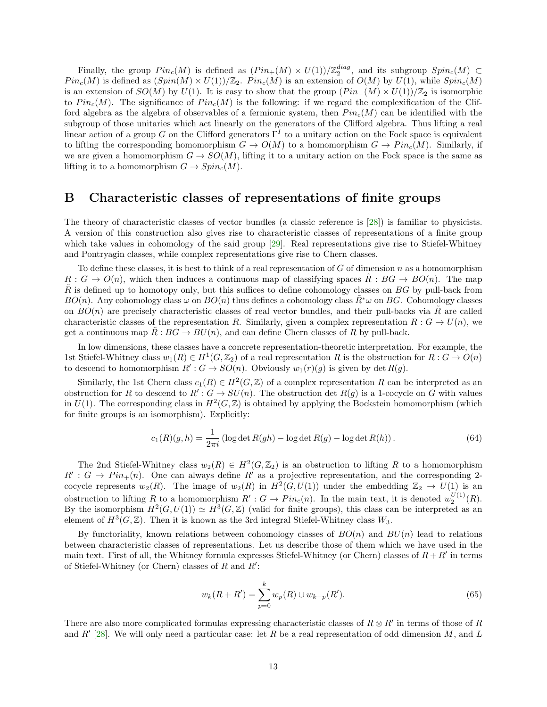Finally, the group  $Pin_c(M)$  is defined as  $(Pin_+(M) \times U(1))/\mathbb{Z}_2^{diag}$ , and its subgroup  $Spin_c(M) \subset$  $Pin_c(M)$  is defined as  $(Spin(M) \times U(1))/\mathbb{Z}_2$ .  $Pin_c(M)$  is an extension of  $O(M)$  by  $U(1)$ , while  $Spin_c(M)$ is an extension of  $SO(M)$  by  $U(1)$ . It is easy to show that the group  $(Pin_{-}(M) \times U(1))/\mathbb{Z}_2$  is isomorphic to  $Pin_c(M)$ . The significance of  $Pin_c(M)$  is the following: if we regard the complexification of the Clifford algebra as the algebra of observables of a fermionic system, then  $Pin_c(M)$  can be identified with the subgroup of those unitaries which act linearly on the generators of the Clifford algebra. Thus lifting a real linear action of a group G on the Clifford generators  $\Gamma^I$  to a unitary action on the Fock space is equivalent to lifting the corresponding homomorphism  $G \to O(M)$  to a homomorphism  $G \to Pin<sub>c</sub>(M)$ . Similarly, if we are given a homomorphism  $G \to SO(M)$ , lifting it to a unitary action on the Fock space is the same as lifting it to a homomorphism  $G \to Spin_c(M)$ .

### <span id="page-12-0"></span>B Characteristic classes of representations of finite groups

The theory of characteristic classes of vector bundles (a classic reference is [\[28\]](#page-16-12)) is familiar to physicists. A version of this construction also gives rise to characteristic classes of representations of a finite group which take values in cohomology of the said group [\[29\]](#page-16-13). Real representations give rise to Stiefel-Whitney and Pontryagin classes, while complex representations give rise to Chern classes.

To define these classes, it is best to think of a real representation of  $G$  of dimension  $n$  as a homomorphism  $R: G \to O(n)$ , which then induces a continuous map of classifying spaces  $\tilde{R}: BG \to BO(n)$ . The map  $\tilde{R}$  is defined up to homotopy only, but this suffices to define cohomology classes on BG by pull-back from  $BO(n)$ . Any cohomology class  $\omega$  on  $BO(n)$  thus defines a cohomology class  $\tilde{R}^*\omega$  on BG. Cohomology classes on  $BO(n)$  are precisely characteristic classes of real vector bundles, and their pull-backs via R are called characteristic classes of the representation R. Similarly, given a complex representation  $R: G \to U(n)$ , we get a continuous map  $\tilde{R}:BG \to BU(n)$ , and can define Chern classes of R by pull-back.

In low dimensions, these classes have a concrete representation-theoretic interpretation. For example, the 1st Stiefel-Whitney class  $w_1(R) \in H^1(G, \mathbb{Z}_2)$  of a real representation R is the obstruction for  $R: G \to O(n)$ to descend to homomorphism  $R': G \to SO(n)$ . Obviously  $w_1(r)(g)$  is given by det  $R(g)$ .

Similarly, the 1st Chern class  $c_1(R) \in H^2(G, \mathbb{Z})$  of a complex representation R can be interpreted as an obstruction for R to descend to  $R': G \to SU(n)$ . The obstruction det  $R(g)$  is a 1-cocycle on G with values in  $U(1)$ . The corresponding class in  $H^2(G,\mathbb{Z})$  is obtained by applying the Bockstein homomorphism (which for finite groups is an isomorphism). Explicitly:

$$
c_1(R)(g, h) = \frac{1}{2\pi i} (\log \det R(gh) - \log \det R(g) - \log \det R(h)).
$$
 (64)

The 2nd Stiefel-Whitney class  $w_2(R) \in H^2(G, \mathbb{Z}_2)$  is an obstruction to lifting R to a homomorphism  $R' : G \to Pin_+(n)$ . One can always define R' as a projective representation, and the corresponding 2cocycle represents  $w_2(R)$ . The image of  $w_2(R)$  in  $H^2(G, U(1))$  under the embedding  $\mathbb{Z}_2 \to U(1)$  is an obstruction to lifting R to a homomorphism  $R': G \to Pin_c(n)$ . In the main text, it is denoted  $w_2^{U(1)}(R)$ . By the isomorphism  $H^2(G, U(1)) \simeq H^3(G, \mathbb{Z})$  (valid for finite groups), this class can be interpreted as an element of  $H^3(G,\mathbb{Z})$ . Then it is known as the 3rd integral Stiefel-Whitney class  $W_3$ .

By functoriality, known relations between cohomology classes of  $BO(n)$  and  $BU(n)$  lead to relations between characteristic classes of representations. Let us describe those of them which we have used in the main text. First of all, the Whitney formula expresses Stiefel-Whitney (or Chern) classes of  $R + R'$  in terms of Stiefel-Whitney (or Chern) classes of  $R$  and  $R'$ :

$$
w_k(R + R') = \sum_{p=0}^{k} w_p(R) \cup w_{k-p}(R').
$$
\n(65)

There are also more complicated formulas expressing characteristic classes of  $R \otimes R'$  in terms of those of R and  $R'$  [\[28\]](#page-16-12). We will only need a particular case: let R be a real representation of odd dimension M, and L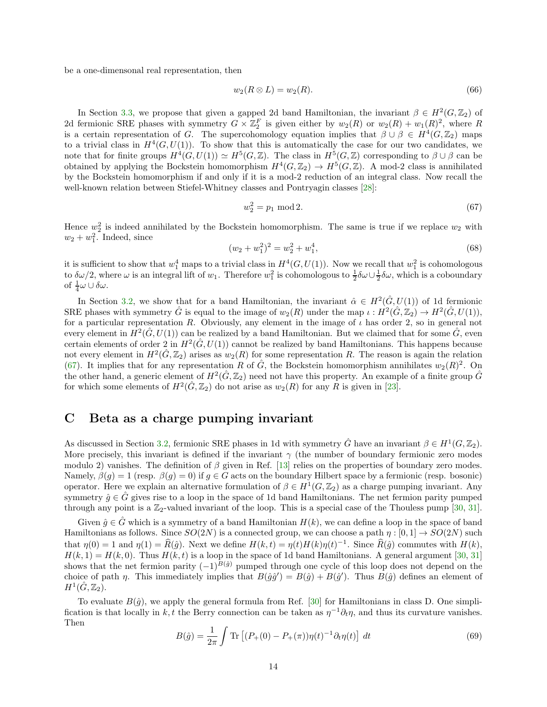be a one-dimensonal real representation, then

$$
w_2(R \otimes L) = w_2(R). \tag{66}
$$

In Section [3.3,](#page-9-1) we propose that given a gapped 2d band Hamiltonian, the invariant  $\beta \in H^2(G, \mathbb{Z}_2)$  of 2d fermionic SRE phases with symmetry  $G \times \mathbb{Z}_2^F$  is given either by  $w_2(R)$  or  $w_2(R) + w_1(R)^2$ , where R is a certain representation of G. The supercohomology equation implies that  $\beta \cup \beta \in H^4(G, \mathbb{Z}_2)$  maps to a trivial class in  $H^4(G, U(1))$ . To show that this is automatically the case for our two candidates, we note that for finite groups  $H^4(G, U(1)) \simeq H^5(G, \mathbb{Z})$ . The class in  $H^5(G, \mathbb{Z})$  corresponding to  $\beta \cup \beta$  can be obtained by applying the Bockstein homomorphism  $H^4(G,\mathbb{Z}_2) \to H^5(G,\mathbb{Z})$ . A mod-2 class is annihilated by the Bockstein homomorphism if and only if it is a mod-2 reduction of an integral class. Now recall the well-known relation between Stiefel-Whitney classes and Pontryagin classes [\[28\]](#page-16-12):

<span id="page-13-1"></span>
$$
w_2^2 = p_1 \mod 2. \tag{67}
$$

Hence  $w_2^2$  is indeed annihilated by the Bockstein homomorphism. The same is true if we replace  $w_2$  with  $w_2 + w_1^2$ . Indeed, since

$$
(w_2 + w_1^2)^2 = w_2^2 + w_1^4,\t\t(68)
$$

it is sufficient to show that  $w_1^4$  maps to a trivial class in  $H^4(G, U(1))$ . Now we recall that  $w_1^2$  is cohomologous to  $\delta\omega/2$ , where  $\omega$  is an integral lift of  $w_1$ . Therefore  $w_1^2$  is cohomologous to  $\frac{1}{2}\delta\omega\cup\frac{1}{2}\delta\omega$ , which is a coboundary of  $\frac{1}{4}\omega \cup \delta \omega$ .

In Section [3.2,](#page-7-0) we show that for a band Hamiltonian, the invariant  $\hat{\alpha} \in H^2(\hat{G}, U(1))$  of 1d fermionic SRE phases with symmetry  $\hat{G}$  is equal to the image of  $w_2(R)$  under the map  $\iota : H^2(\hat{G}, \mathbb{Z}_2) \to H^2(\hat{G}, U(1)),$ for a particular representation R. Obviously, any element in the image of  $\iota$  has order 2, so in general not every element in  $H^2(\hat{G}, U(1))$  can be realized by a band Hamiltonian. But we claimed that for some  $\hat{G}$ , even certain elements of order 2 in  $H^2(\hat{G}, U(1))$  cannot be realized by band Hamiltonians. This happens because not every element in  $H^2(\hat{G}, \mathbb{Z}_2)$  arises as  $w_2(R)$  for some representation R. The reason is again the relation [\(67\)](#page-13-1). It implies that for any representation R of  $\hat{G}$ , the Bockstein homomorphism annihilates  $w_2(R)^2$ . On the other hand, a generic element of  $H^2(\hat{G}, \mathbb{Z}_2)$  need not have this property. An example of a finite group  $\hat{G}$ for which some elements of  $H^2(\hat{G}, \mathbb{Z}_2)$  do not arise as  $w_2(R)$  for any R is given in [\[23\]](#page-16-8).

## <span id="page-13-0"></span>C Beta as a charge pumping invariant

As discussed in Section [3.2,](#page-7-0) fermionic SRE phases in 1d with symmetry  $\hat{G}$  have an invariant  $\beta \in H^1(G, \mathbb{Z}_2)$ . More precisely, this invariant is defined if the invariant  $\gamma$  (the number of boundary fermionic zero modes modulo 2) vanishes. The definition of  $\beta$  given in Ref. [\[13\]](#page-15-10) relies on the properties of boundary zero modes. Namely,  $\beta(g) = 1$  (resp.  $\beta(g) = 0$ ) if  $g \in G$  acts on the boundary Hilbert space by a fermionic (resp. bosonic) operator. Here we explain an alternative formulation of  $\beta \in H^1(G,\mathbb{Z}_2)$  as a charge pumping invariant. Any symmetry  $\hat{g} \in \hat{G}$  gives rise to a loop in the space of 1d band Hamiltonians. The net fermion parity pumped through any point is a  $\mathbb{Z}_2$ -valued invariant of the loop. This is a special case of the Thouless pump [\[30,](#page-16-14) [31\]](#page-16-15).

Given  $\hat{g} \in \hat{G}$  which is a symmetry of a band Hamiltonian  $H(k)$ , we can define a loop in the space of band Hamiltonians as follows. Since  $SO(2N)$  is a connected group, we can choose a path  $\eta : [0,1] \to SO(2N)$  such that  $\eta(0) = 1$  and  $\eta(1) = \widehat{R}(\hat{g})$ . Next we define  $H(k, t) = \eta(t)H(k)\eta(t)^{-1}$ . Since  $\widehat{R}(\hat{g})$  commutes with  $H(k)$ ,  $H(k, 1) = H(k, 0)$ . Thus  $H(k, t)$  is a loop in the space of 1d band Hamiltonians. A general argument [\[30,](#page-16-14) [31\]](#page-16-15) shows that the net fermion parity  $(-1)^{B(\hat{g})}$  pumped through one cycle of this loop does not depend on the choice of path  $\eta$ . This immediately implies that  $B(\hat{g}\hat{g}') = B(\hat{g}) + B(\hat{g}')$ . Thus  $B(\hat{g})$  defines an element of  $H^1(\hat{G},\mathbb{Z}_2).$ 

To evaluate  $B(\hat{g})$ , we apply the general formula from Ref. [\[30\]](#page-16-14) for Hamiltonians in class D. One simplification is that locally in k, t the Berry connection can be taken as  $\eta^{-1}\partial_t\eta$ , and thus its curvature vanishes. Then

<span id="page-13-2"></span>
$$
B(\hat{g}) = \frac{1}{2\pi} \int \text{Tr} \left[ (P_+(0) - P_+(\pi)) \eta(t)^{-1} \partial_t \eta(t) \right] dt \tag{69}
$$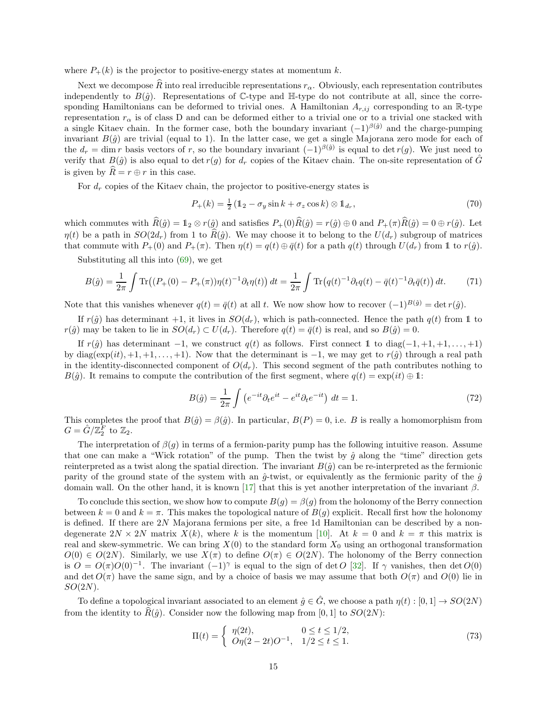where  $P_+(k)$  is the projector to positive-energy states at momentum k.

Next we decompose  $\widehat{R}$  into real irreducible representations  $r_{\alpha}$ . Obviously, each representation contributes independently to  $B(\hat{g})$ . Representations of C-type and H-type do not contribute at all, since the corresponding Hamiltonians can be deformed to trivial ones. A Hamiltonian  $A_{r,ij}$  corresponding to an R-type representation  $r_{\alpha}$  is of class D and can be deformed either to a trivial one or to a trivial one stacked with a single Kitaev chain. In the former case, both the boundary invariant  $(-1)^{\beta(\hat{g})}$  and the charge-pumping invariant  $B(\hat{q})$  are trivial (equal to 1). In the latter case, we get a single Majorana zero mode for each of the  $d_r = \dim r$  basis vectors of r, so the boundary invariant  $(-1)^{\beta(\hat{g})}$  is equal to  $\det r(g)$ . We just need to verify that  $B(\hat{g})$  is also equal to det r(g) for  $d_r$  copies of the Kitaev chain. The on-site representation of  $\hat{G}$ is given by  $\widehat{R} = r \oplus r$  in this case.

For  $d_r$  copies of the Kitaev chain, the projector to positive-energy states is

$$
P_{+}(k) = \frac{1}{2} \left( \mathbb{1}_2 - \sigma_y \sin k + \sigma_z \cos k \right) \otimes \mathbb{1}_{d_r},\tag{70}
$$

which commutes with  $\widehat{R}(\hat{g}) = \mathbb{1}_2 \otimes r(\hat{g})$  and satisfies  $P_+(0)\widehat{R}(\hat{g}) = r(\hat{g}) \oplus 0$  and  $P_+(\pi)\widehat{R}(\hat{g}) = 0 \oplus r(\hat{g})$ . Let  $\eta(t)$  be a path in  $SO(2d_r)$  from 1 to  $R(\hat{g})$ . We may choose it to belong to the  $U(d_r)$  subgroup of matrices that commute with  $P_+(0)$  and  $P_+(\pi)$ . Then  $\eta(t) = q(t) \oplus \bar{q}(t)$  for a path  $q(t)$  through  $U(d_r)$  from 1 to  $r(\hat{g})$ .

Substituting all this into [\(69\)](#page-13-2), we get

$$
B(\hat{g}) = \frac{1}{2\pi} \int \text{Tr}\left( (P_+(0) - P_+(\pi))\eta(t)^{-1} \partial_t \eta(t) \right) dt = \frac{1}{2\pi} \int \text{Tr}\left( q(t)^{-1} \partial_t q(t) - \bar{q}(t)^{-1} \partial_t \bar{q}(t) \right) dt. \tag{71}
$$

Note that this vanishes whenever  $q(t) = \bar{q}(t)$  at all t. We now show how to recover  $(-1)^{B(\hat{g})} = \det r(\hat{q})$ .

If  $r(\hat{g})$  has determinant +1, it lives in  $SO(d_r)$ , which is path-connected. Hence the path  $q(t)$  from 1 to  $r(\hat{g})$  may be taken to lie in  $SO(d_r) \subset U(d_r)$ . Therefore  $q(t) = \bar{q}(t)$  is real, and so  $B(\hat{g}) = 0$ .

If  $r(\hat{g})$  has determinant  $-1$ , we construct  $q(t)$  as follows. First connect 1 to diag( $-1, +1, +1, \ldots, +1$ ) by diag( $\exp(it)$ , +1, +1, ..., +1). Now that the determinant is -1, we may get to  $r(\hat{q})$  through a real path in the identity-disconnected component of  $O(d_r)$ . This second segment of the path contributes nothing to  $B(\hat{g})$ . It remains to compute the contribution of the first segment, where  $q(t) = \exp(it) \oplus 1$ :

$$
B(\hat{g}) = \frac{1}{2\pi} \int \left( e^{-it} \partial_t e^{it} - e^{it} \partial_t e^{-it} \right) dt = 1.
$$
 (72)

This completes the proof that  $B(\hat{g}) = \beta(\hat{g})$ . In particular,  $B(P) = 0$ , i.e. B is really a homomorphism from  $G = \hat{G}/\mathbb{Z}_2^F$  to  $\mathbb{Z}_2$ .

The interpretation of  $\beta(g)$  in terms of a fermion-parity pump has the following intuitive reason. Assume that one can make a "Wick rotation" of the pump. Then the twist by  $\hat{g}$  along the "time" direction gets reinterpreted as a twist along the spatial direction. The invariant  $B(\hat{g})$  can be re-interpreted as the fermionic parity of the ground state of the system with an  $\hat{q}$ -twist, or equivalently as the fermionic parity of the  $\hat{q}$ domain wall. On the other hand, it is known [\[17\]](#page-16-1) that this is yet another interpretation of the invariant  $\beta$ .

To conclude this section, we show how to compute  $B(q) = \beta(q)$  from the holonomy of the Berry connection between  $k = 0$  and  $k = \pi$ . This makes the topological nature of  $B(g)$  explicit. Recall first how the holonomy is defined. If there are 2N Majorana fermions per site, a free 1d Hamiltonian can be described by a nondegenerate  $2N \times 2N$  matrix  $X(k)$ , where k is the momentum [\[10\]](#page-15-14). At  $k = 0$  and  $k = \pi$  this matrix is real and skew-symmetric. We can bring  $X(0)$  to the standard form  $X_0$  using an orthogonal transformation  $O(0) \in O(2N)$ . Similarly, we use  $X(\pi)$  to define  $O(\pi) \in O(2N)$ . The holonomy of the Berry connection is  $O = O(\pi)O(0)^{-1}$ . The invariant  $(-1)^{\gamma}$  is equal to the sign of det O [\[32\]](#page-16-16). If  $\gamma$  vanishes, then det  $O(0)$ and det  $O(\pi)$  have the same sign, and by a choice of basis we may assume that both  $O(\pi)$  and  $O(0)$  lie in  $SO(2N)$ .

To define a topological invariant associated to an element  $\hat{q} \in \hat{G}$ , we choose a path  $\eta(t): [0,1] \to SO(2N)$ from the identity to  $\hat{R}(\hat{g})$ . Consider now the following map from [0, 1] to  $SO(2N)$ :

$$
\Pi(t) = \begin{cases} \eta(2t), & 0 \le t \le 1/2, \\ O\eta(2-2t)O^{-1}, & 1/2 \le t \le 1. \end{cases}
$$
\n(73)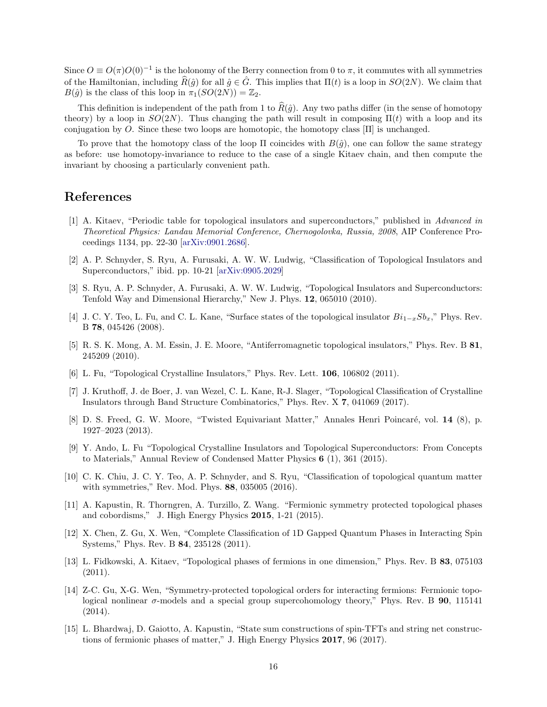Since  $O \equiv O(\pi)O(0)^{-1}$  is the holonomy of the Berry connection from 0 to  $\pi$ , it commutes with all symmetries of the Hamiltonian, including  $\hat{R}(\hat{q})$  for all  $\hat{q} \in \hat{G}$ . This implies that  $\Pi(t)$  is a loop in  $SO(2N)$ . We claim that  $B(\hat{g})$  is the class of this loop in  $\pi_1(SO(2N)) = \mathbb{Z}_2$ .

This definition is independent of the path from 1 to  $\hat{R}(\hat{g})$ . Any two paths differ (in the sense of homotopy theory) by a loop in  $SO(2N)$ . Thus changing the path will result in composing  $\Pi(t)$  with a loop and its conjugation by O. Since these two loops are homotopic, the homotopy class  $[\Pi]$  is unchanged.

To prove that the homotopy class of the loop  $\Pi$  coincides with  $B(\hat{q})$ , one can follow the same strategy as before: use homotopy-invariance to reduce to the case of a single Kitaev chain, and then compute the invariant by choosing a particularly convenient path.

# <span id="page-15-0"></span>References

- [1] A. Kitaev, "Periodic table for topological insulators and superconductors," published in Advanced in Theoretical Physics: Landau Memorial Conference, Chernogolovka, Russia, 2008, AIP Conference Proceedings 1134, pp. 22-30 [\[arXiv:0901.2686\]](http://arxiv.org/abs/0901.2686).
- <span id="page-15-1"></span>[2] A. P. Schnyder, S. Ryu, A. Furusaki, A. W. W. Ludwig, "Classification of Topological Insulators and Superconductors," ibid. pp. 10-21 [\[arXiv:0905.2029\]](http://arxiv.org/abs/0905.2029)
- <span id="page-15-2"></span>[3] S. Ryu, A. P. Schnyder, A. Furusaki, A. W. W. Ludwig, "Topological Insulators and Superconductors: Tenfold Way and Dimensional Hierarchy," New J. Phys. 12, 065010 (2010).
- <span id="page-15-3"></span>[4] J. C. Y. Teo, L. Fu, and C. L. Kane, "Surface states of the topological insulator  $Bi_{1-x}Sb_x$ ," Phys. Rev. B 78, 045426 (2008).
- <span id="page-15-4"></span>[5] R. S. K. Mong, A. M. Essin, J. E. Moore, "Antiferromagnetic topological insulators," Phys. Rev. B 81, 245209 (2010).
- <span id="page-15-6"></span><span id="page-15-5"></span>[6] L. Fu, "Topological Crystalline Insulators," Phys. Rev. Lett. 106, 106802 (2011).
- [7] J. Kruthoff, J. de Boer, J. van Wezel, C. L. Kane, R-J. Slager, "Topological Classification of Crystalline Insulators through Band Structure Combinatorics," Phys. Rev. X 7, 041069 (2017).
- <span id="page-15-7"></span>[8] D. S. Freed, G. W. Moore, "Twisted Equivariant Matter," Annales Henri Poincaré, vol. 14 (8), p. 1927–2023 (2013).
- <span id="page-15-8"></span>[9] Y. Ando, L. Fu "Topological Crystalline Insulators and Topological Superconductors: From Concepts to Materials," Annual Review of Condensed Matter Physics 6 (1), 361 (2015).
- <span id="page-15-14"></span>[10] C. K. Chiu, J. C. Y. Teo, A. P. Schnyder, and S. Ryu, "Classification of topological quantum matter with symmetries," Rev. Mod. Phys. 88, 035005 (2016).
- <span id="page-15-13"></span>[11] A. Kapustin, R. Thorngren, A. Turzillo, Z. Wang. "Fermionic symmetry protected topological phases and cobordisms," J. High Energy Physics 2015, 1-21 (2015).
- <span id="page-15-9"></span>[12] X. Chen, Z. Gu, X. Wen, "Complete Classification of 1D Gapped Quantum Phases in Interacting Spin Systems," Phys. Rev. B 84, 235128 (2011).
- <span id="page-15-10"></span>[13] L. Fidkowski, A. Kitaev, "Topological phases of fermions in one dimension," Phys. Rev. B 83, 075103 (2011).
- <span id="page-15-11"></span>[14] Z-C. Gu, X-G. Wen, "Symmetry-protected topological orders for interacting fermions: Fermionic topological nonlinear  $\sigma$ -models and a special group supercohomology theory," Phys. Rev. B **90**, 115141 (2014).
- <span id="page-15-12"></span>[15] L. Bhardwaj, D. Gaiotto, A. Kapustin, "State sum constructions of spin-TFTs and string net constructions of fermionic phases of matter," J. High Energy Physics 2017, 96 (2017).